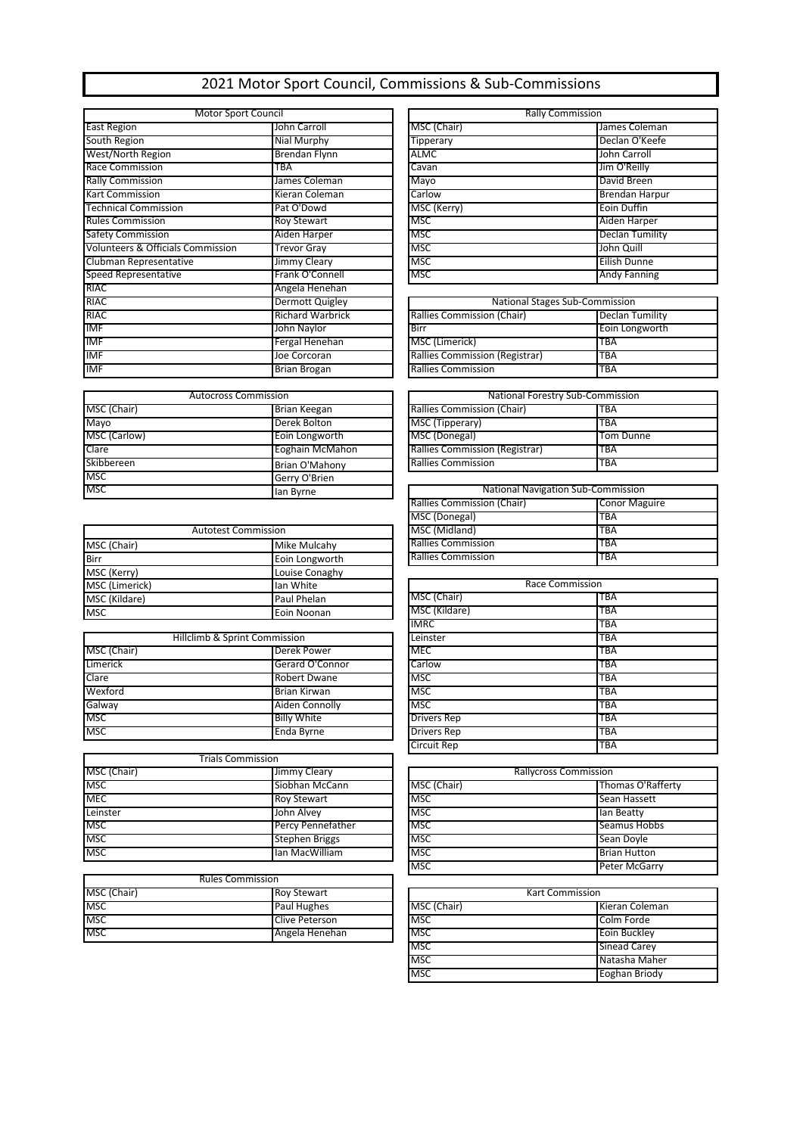## 2021 Motor Sport Council, Commissions & Sub-Commissions

| <b>Motor Sport Council</b>                   |                         | <b>Rally Commission</b>               |                        |
|----------------------------------------------|-------------------------|---------------------------------------|------------------------|
| <b>East Region</b>                           | John Carroll            | MSC (Chair)                           | James Coleman          |
| South Region                                 | Nial Murphy             | Tipperary                             | Declan O'Keefe         |
| <b>West/North Region</b>                     | <b>Brendan Flynn</b>    | ALMC                                  | John Carroll           |
| <b>Race Commission</b>                       | ТВА                     | Cavan                                 | Jim O'Reilly           |
| <b>Rally Commission</b>                      | James Coleman           | Mayo                                  | David Breen            |
| <b>Kart Commission</b>                       | Kieran Coleman          | Carlow                                | <b>Brendan Harpur</b>  |
| <b>Technical Commission</b>                  | Pat O'Dowd              | MSC (Kerry)                           | Eoin Duffin            |
| <b>Rules Commission</b>                      | <b>Roy Stewart</b>      | <b>MSC</b>                            | Aiden Harper           |
| <b>Safety Commission</b>                     | Aiden Harper            | <b>MSC</b>                            | <b>Declan Tumility</b> |
| <b>Volunteers &amp; Officials Commission</b> | <b>Trevor Gray</b>      | <b>MSC</b>                            | John Quill             |
| Clubman Representative                       | Jimmy Cleary            | <b>MSC</b>                            | Eilish Dunne           |
| Speed Representative                         | Frank O'Connell         | <b>MSC</b>                            | <b>Andy Fanning</b>    |
| <b>RIAC</b>                                  | Angela Henehan          |                                       |                        |
| <b>RIAC</b>                                  | Dermott Quigley         | <b>National Stages Sub-Commission</b> |                        |
| RIAC                                         | <b>Richard Warbrick</b> | Rallies Commission (Chair)            | Declan Tumility        |
| <b>IMF</b>                                   | John Naylor             | Birr                                  | Eoin Longworth         |
| <b>IMF</b>                                   | Fergal Henehan          | MSC (Limerick)                        | TBA                    |
| <b>IMF</b>                                   | Joe Corcoran            | Rallies Commission (Registrar)        | TBA                    |
| <b>IMF</b>                                   | <b>Brian Brogan</b>     | <b>Rallies Commission</b>             | TBA                    |

| <b>Autocross Commission</b> |                 | National Forestry Sub-Commission          |                  |  |
|-----------------------------|-----------------|-------------------------------------------|------------------|--|
| MSC (Chair)                 | Brian Keegan    | Rallies Commission (Chair)                | <b>TBA</b>       |  |
| Mayo                        | Derek Bolton    | MSC (Tipperary)                           | <b>TBA</b>       |  |
| MSC (Carlow)                | Eoin Longworth  | MSC (Donegal)                             | <b>Tom Dunne</b> |  |
| Clare                       | Eoghain McMahon | Rallies Commission (Registrar)            | <b>TBA</b>       |  |
| Skibbereen                  | Brian O'Mahony  | <b>Rallies Commission</b>                 | <b>TBA</b>       |  |
| <b>MSC</b>                  | Gerry O'Brien   |                                           |                  |  |
| <b>MSC</b>                  | lan Byrne       | <b>National Navigation Sub-Commission</b> |                  |  |

|                | <b>Autotest Commission</b> | MSC (Midland)             | TBA        |
|----------------|----------------------------|---------------------------|------------|
| MSC (Chair)    | Mike Mulcahy               | <b>Rallies Commission</b> | <b>TBA</b> |
| <b>Birr</b>    | Eoin Longworth             | <b>Rallies Commission</b> | <b>TBA</b> |
| MSC (Kerry)    | Louise Conaghy             |                           |            |
| MSC (Limerick) | lan White                  | Race Commission           |            |
| MSC (Kildare)  | Paul Phelan                | MSC (Chair)               | <b>TBA</b> |
| <b>IMSC</b>    | <b>Enin Noonan</b>         | MSC (Kildare)             | <b>TBA</b> |

| Hillclimb & Sprint Commission |                     | Leinster           | <b>TBA</b> |
|-------------------------------|---------------------|--------------------|------------|
| MSC (Chair)                   | Derek Power         | <b>MEC</b>         | <b>TBA</b> |
| Limerick                      | Gerard O'Connor     | Carlow             | <b>TBA</b> |
| Clare                         | <b>Robert Dwane</b> | <b>MSC</b>         | <b>TBA</b> |
| Wexford                       | Brian Kirwan        | <b>MSC</b>         | <b>TBA</b> |
| Galway                        | Aiden Connolly      | <b>MSC</b>         | <b>TBA</b> |
| <b>MSC</b>                    | Billy White         | Drivers Rep        | TBA        |
| <b>MSC</b>                    | Enda Byrne          | <b>Drivers Rep</b> | <b>TBA</b> |

|             | Trials Commission     |             |                              |
|-------------|-----------------------|-------------|------------------------------|
| MSC (Chair) | Jimmy Cleary          |             | <b>Rallycross Commission</b> |
| <b>MSC</b>  | Siobhan McCann        | MSC (Chair) | Thomas O'Rafferty            |
| <b>MEC</b>  | <b>Roy Stewart</b>    | <b>IMSC</b> | Sean Hassett                 |
| Leinster    | John Alvey            | MSC         | llan Beatty                  |
| <b>MSC</b>  | Percy Pennefather     | <b>MSC</b>  | Seamus Hobbs                 |
| <b>MSC</b>  | <b>Stephen Briggs</b> | <b>MSC</b>  | Sean Doyle                   |
| <b>MSC</b>  | Ian MacWilliam        | <b>MSC</b>  | <b>Brian Hutton</b>          |

|             | <b>Rules Commission</b> |             |                     |
|-------------|-------------------------|-------------|---------------------|
| MSC (Chair) | <b>Roy Stewart</b>      |             | Kart Commission     |
| <b>IMSC</b> | <b>Paul Hughes</b>      | MSC (Chair) | Kieran Coleman      |
| <b>IMSC</b> | Clive Peterson          | <b>MSC</b>  | Colm Forde          |
| <b>IMSC</b> | Angela Henehan          | <b>MSC</b>  | <b>Eoin Buckley</b> |

| <b>Rally Commission</b> |                       |  |
|-------------------------|-----------------------|--|
| MSC (Chair)             | James Coleman         |  |
| Tipperary               | Declan O'Keefe        |  |
| ALMC                    | John Carroll          |  |
| Cavan                   | Jim O'Reilly          |  |
| Mayo                    | David Breen           |  |
| Carlow                  | <b>Brendan Harpur</b> |  |
| MSC (Kerry)             | Eoin Duffin           |  |
| <b>MSC</b>              | Aiden Harper          |  |
| <b>MSC</b>              | Declan Tumility       |  |
| <b>MSC</b>              | John Quill            |  |
| <b>MSC</b>              | Eilish Dunne          |  |
| <b>MSC</b>              | <b>Andy Fanning</b>   |  |

| National Stages Sub-Commission |                        |  |
|--------------------------------|------------------------|--|
| Rallies Commission (Chair)     | <b>Declan Tumility</b> |  |
| Birr                           | Eoin Longworth         |  |
| MSC (Limerick)                 | <b>TBA</b>             |  |
| Rallies Commission (Registrar) | <b>TBA</b>             |  |
| <b>Rallies Commission</b>      | <b>TBA</b>             |  |

| Autocross Commission |                                | National Forestry Sub-Commission |  |
|----------------------|--------------------------------|----------------------------------|--|
| Brian Keegan         | Rallies Commission (Chair)     | <b>TBA</b>                       |  |
| Derek Bolton         | MSC (Tipperary)                | <b>TBA</b>                       |  |
| Eoin Longworth       | MSC (Donegal)                  | Tom Dunne                        |  |
| Eoghain McMahon      | Rallies Commission (Registrar) | <b>TBA</b>                       |  |
| Brian O'Mahony       | <b>Rallies Commission</b>      | <b>TBA</b>                       |  |
|                      |                                |                                  |  |

| <b>National Navigation Sub-Commission</b> |                      |  |
|-------------------------------------------|----------------------|--|
| Rallies Commission (Chair)                | <b>Conor Maguire</b> |  |
| MSC (Donegal)                             | <b>TBA</b>           |  |
| MSC (Midland)                             | <b>TBA</b>           |  |
| <b>Rallies Commission</b>                 | TBA                  |  |
| <b>Rallies Commission</b>                 | TBA                  |  |

| MSC (Limerick) | Ian White                     |                    | Race Commission |
|----------------|-------------------------------|--------------------|-----------------|
| MSC (Kildare)  | Paul Phelan                   | MSC (Chair)        | <b>TBA</b>      |
| MSC            | Eoin Noonan                   | MSC (Kildare)      | TBA             |
|                |                               | <b>IMRC</b>        | TBA             |
|                | Hillclimb & Sprint Commission | Leinster           | <b>TBA</b>      |
| MSC (Chair)    | Derek Power                   | <b>MEC</b>         | TBA             |
| Limerick       | Gerard O'Connor               | Carlow             | <b>TBA</b>      |
| Clare          | <b>Robert Dwane</b>           | <b>MSC</b>         | <b>TBA</b>      |
| Wexford        | Brian Kirwan                  | MSC                | TBA             |
| Galway         | Aiden Connolly                | <b>MSC</b>         | TBA             |
| MSC            | <b>Billy White</b>            | <b>Drivers Rep</b> | TBA             |
| MSC            | Enda Byrne                    | <b>Drivers Rep</b> | <b>TBA</b>      |
|                |                               | <b>Circuit Rep</b> | <b>TBA</b>      |
|                |                               |                    |                 |

| <b>Rallycross Commission</b> |                      |  |
|------------------------------|----------------------|--|
| MSC (Chair)                  | Thomas O'Rafferty    |  |
| <b>MSC</b>                   | Sean Hassett         |  |
| MSC                          | lan Beatty           |  |
| <b>MSC</b>                   | Seamus Hobbs         |  |
| <b>MSC</b>                   | Sean Doyle           |  |
| <b>MSC</b>                   | <b>Brian Hutton</b>  |  |
| <b>MSC</b>                   | <b>Peter McGarry</b> |  |

| <b>Kart Commission</b> |                     |  |
|------------------------|---------------------|--|
| MSC (Chair)            | Kieran Coleman      |  |
| <b>MSC</b>             | Colm Forde          |  |
| <b>MSC</b>             | Eoin Buckley        |  |
| MSC                    | <b>Sinead Carey</b> |  |
| MSC                    | Natasha Maher       |  |
| <b>MSC</b>             | Eoghan Briody       |  |